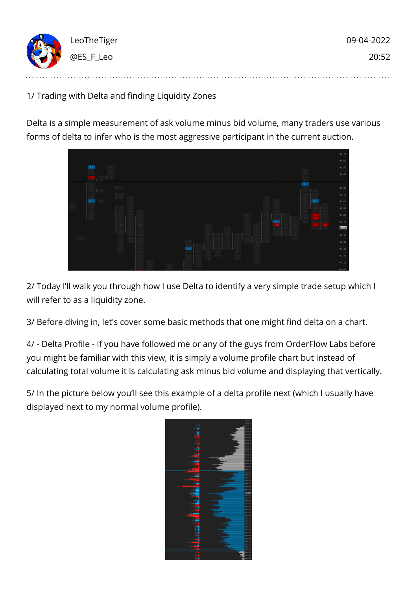

1/ Trading with Delta and finding Liquidity Zones

Delta is a simple measurement of ask volume minus bid volume, many traders use various forms of delta to infer who is the most aggressive participant in the current auction.



2/ Today I'll walk you through how I use Delta to identify a very simple trade setup which I will refer to as a liquidity zone.

3/ Before diving in, let's cover some basic methods that one might find delta on a chart.

4/ - Delta Profile - If you have followed me or any of the guys from OrderFlow Labs before you might be familiar with this view, it is simply a volume profile chart but instead of calculating total volume it is calculating ask minus bid volume and displaying that vertically.

5/ In the picture below you'll see this example of a delta profile next (which I usually have displayed next to my normal volume profile).

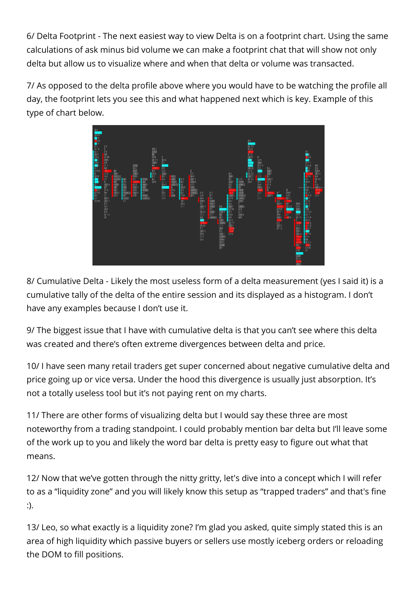6/ Delta Footprint - The next easiest way to view Delta is on a footprint chart. Using the same calculations of ask minus bid volume we can make a footprint chat that will show not only delta but allow us to visualize where and when that delta or volume was transacted.

7/ As opposed to the delta profile above where you would have to be watching the profile all day, the footprint lets you see this and what happened next which is key. Example of this type of chart below.



8/ Cumulative Delta - Likely the most useless form of a delta measurement (yes I said it) is a cumulative tally of the delta of the entire session and its displayed as a histogram. I don't have any examples because I don't use it.

9/ The biggest issue that I have with cumulative delta is that you can't see where this delta was created and there's often extreme divergences between delta and price.

10/ I have seen many retail traders get super concerned about negative cumulative delta and price going up or vice versa. Under the hood this divergence is usually just absorption. It's not a totally useless tool but it's not paying rent on my charts.

11/ There are other forms of visualizing delta but I would say these three are most noteworthy from a trading standpoint. I could probably mention bar delta but I'll leave some of the work up to you and likely the word bar delta is pretty easy to figure out what that means.

12/ Now that we've gotten through the nitty gritty, let's dive into a concept which I will refer to as a "liquidity zone" and you will likely know this setup as "trapped traders" and that's fine :).

13/ Leo, so what exactly is a liquidity zone? I'm glad you asked, quite simply stated this is an area of high liquidity which passive buyers or sellers use mostly iceberg orders or reloading the DOM to fill positions.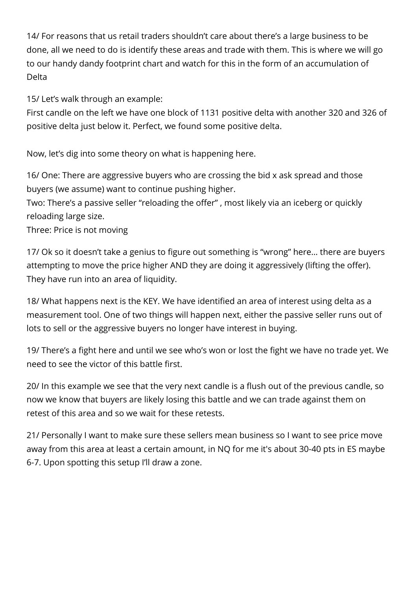14/ For reasons that us retail traders shouldn't care about there's a large business to be done, all we need to do is identify these areas and trade with them. This is where we will go to our handy dandy footprint chart and watch for this in the form of an accumulation of Delta

15/ Let's walk through an example:

First candle on the left we have one block of 1131 positive delta with another 320 and 326 of positive delta just below it. Perfect, we found some positive delta.

Now, let's dig into some theory on what is happening here.

16/ One: There are aggressive buyers who are crossing the bid x ask spread and those buyers (we assume) want to continue pushing higher.

Two: There's a passive seller "reloading the offer" , most likely via an iceberg or quickly reloading large size.

Three: Price is not moving

17/ Ok so it doesn't take a genius to figure out something is "wrong" here… there are buyers attempting to move the price higher AND they are doing it aggressively (lifting the offer). They have run into an area of liquidity.

18/ What happens next is the KEY. We have identified an area of interest using delta as a measurement tool. One of two things will happen next, either the passive seller runs out of lots to sell or the aggressive buyers no longer have interest in buying.

19/ There's a fight here and until we see who's won or lost the fight we have no trade yet. We need to see the victor of this battle first.

20/ In this example we see that the very next candle is a flush out of the previous candle, so now we know that buyers are likely losing this battle and we can trade against them on retest of this area and so we wait for these retests.

21/ Personally I want to make sure these sellers mean business so I want to see price move away from this area at least a certain amount, in NQ for me it's about 30-40 pts in ES maybe 6-7. Upon spotting this setup I'll draw a zone.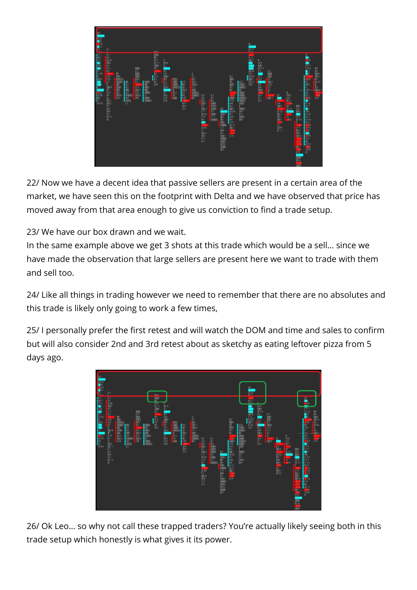

22/ Now we have a decent idea that passive sellers are present in a certain area of the market, we have seen this on the footprint with Delta and we have observed that price has moved away from that area enough to give us conviction to find a trade setup.

23/ We have our box drawn and we wait.

In the same example above we get 3 shots at this trade which would be a sell… since we have made the observation that large sellers are present here we want to trade with them and sell too.

24/ Like all things in trading however we need to remember that there are no absolutes and this trade is likely only going to work a few times,

25/ I personally prefer the first retest and will watch the DOM and time and sales to confirm but will also consider 2nd and 3rd retest about as sketchy as eating leftover pizza from 5 days ago.



26/ Ok Leo… so why not call these trapped traders? You're actually likely seeing both in this trade setup which honestly is what gives it its power.